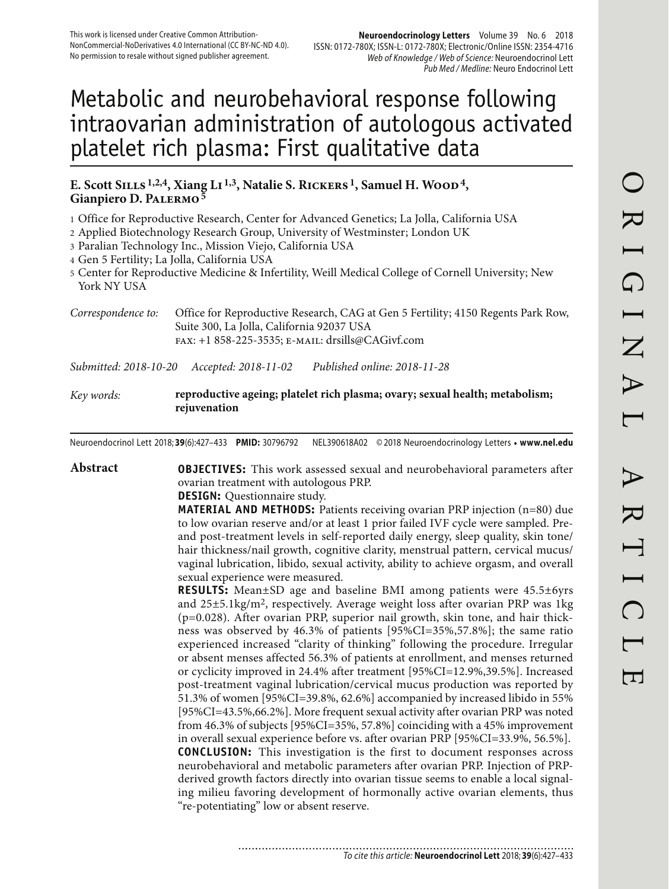# Metabolic and neurobehavioral response following intraovarian administration of autologous activated platelet rich plasma: First qualitative data

#### **E. Scott Sills 1,2,4, Xiang Li 1,3, Natalie S. Rickers 1, Samuel H. Wood 4, Gianpiero D. Palermo 5**

1 Office for Reproductive Research, Center for Advanced Genetics; La Jolla, California USA

2 Applied Biotechnology Research Group, University of Westminster; London UK

3 Paralian Technology Inc., Mission Viejo, California USA

4 Gen 5 Fertility; La Jolla, California USA

5 Center for Reproductive Medicine & Infertility, Weill Medical College of Cornell University; New York NY USA

*Correspondence to:* Office for Reproductive Research, CAG at Gen 5 Fertility; 4150 Regents Park Row, Suite 300, La Jolla, California 92037 USA fax: +1 858-225-3535; e-mail: drsills@CAGivf.com

*Submitted: 2018-10-20 Accepted: 2018-11-02 Published online: 2018-11-28*

#### *Key words:* **reproductive ageing; platelet rich plasma; ovary; sexual health; metabolism; rejuvenation**

Neuroendocrinol Lett 2018; **39**(6):427–433 **PMID:** 30796792 NEL390618A02 © 2018 Neuroendocrinology Letters • **www.nel.edu**

**Abstract OBJECTIVES:** This work assessed sexual and neurobehavioral parameters after ovarian treatment with autologous PRP.

#### **DESIGN:** Questionnaire study.

............................

**MATERIAL AND METHODS:** Patients receiving ovarian PRP injection (n=80) due to low ovarian reserve and/or at least 1 prior failed IVF cycle were sampled. Preand post-treatment levels in self-reported daily energy, sleep quality, skin tone/ hair thickness/nail growth, cognitive clarity, menstrual pattern, cervical mucus/ vaginal lubrication, libido, sexual activity, ability to achieve orgasm, and overall sexual experience were measured.

**RESULTS:** Mean±SD age and baseline BMI among patients were 45.5±6yrs and 25±5.1kg/m2, respectively. Average weight loss after ovarian PRP was 1kg (p=0.028). After ovarian PRP, superior nail growth, skin tone, and hair thickness was observed by 46.3% of patients [95%CI=35%,57.8%]; the same ratio experienced increased "clarity of thinking" following the procedure. Irregular or absent menses affected 56.3% of patients at enrollment, and menses returned or cyclicity improved in 24.4% after treatment [95%CI=12.9%,39.5%]. Increased post-treatment vaginal lubrication/cervical mucus production was reported by 51.3% of women [95%CI=39.8%, 62.6%] accompanied by increased libido in 55% [95%CI=43.5%,66.2%]. More frequent sexual activity after ovarian PRP was noted from 46.3% of subjects [95%CI=35%, 57.8%] coinciding with a 45% improvement in overall sexual experience before vs. after ovarian PRP [95%CI=33.9%, 56.5%]. **CONCLUSION:** This investigation is the first to document responses across neurobehavioral and metabolic parameters after ovarian PRP. Injection of PRPderived growth factors directly into ovarian tissue seems to enable a local signaling milieu favoring development of hormonally active ovarian elements, thus "re-potentiating" low or absent reserve.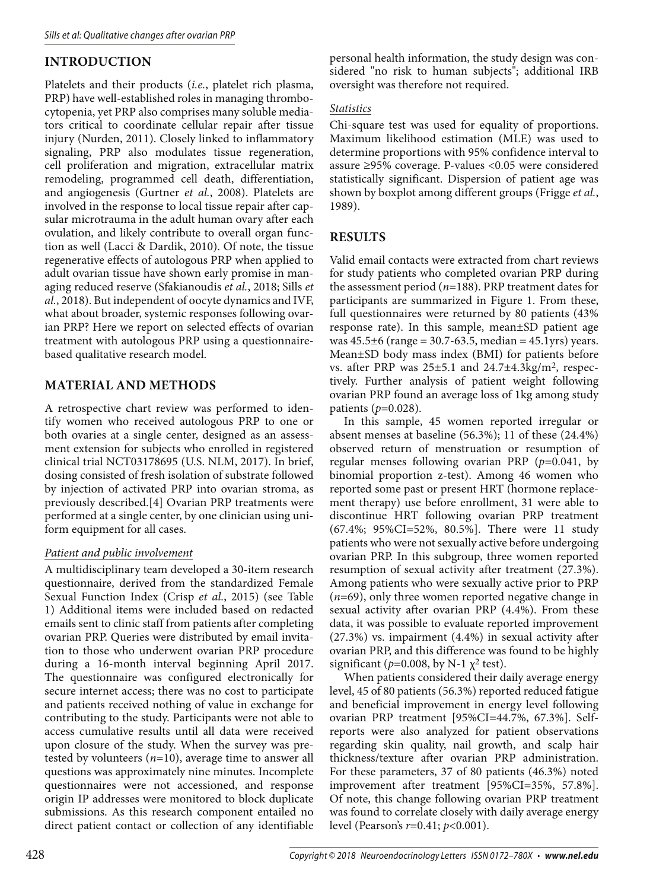## **INTRODUCTION**

Platelets and their products (*i.e.*, platelet rich plasma, PRP) have well-established roles in managing thrombocytopenia, yet PRP also comprises many soluble mediators critical to coordinate cellular repair after tissue injury (Nurden, 2011). Closely linked to inflammatory signaling, PRP also modulates tissue regeneration, cell proliferation and migration, extracellular matrix remodeling, programmed cell death, differentiation, and angiogenesis (Gurtner *et al.*, 2008). Platelets are involved in the response to local tissue repair after capsular microtrauma in the adult human ovary after each ovulation, and likely contribute to overall organ function as well (Lacci & Dardik, 2010). Of note, the tissue regenerative effects of autologous PRP when applied to adult ovarian tissue have shown early promise in managing reduced reserve (Sfakianoudis *et al.*, 2018; Sills *et al.*, 2018). But independent of oocyte dynamics and IVF, what about broader, systemic responses following ovarian PRP? Here we report on selected effects of ovarian treatment with autologous PRP using a questionnairebased qualitative research model.

### **MATERIAL AND METHODS**

A retrospective chart review was performed to identify women who received autologous PRP to one or both ovaries at a single center, designed as an assessment extension for subjects who enrolled in registered clinical trial NCT03178695 (U.S. NLM, 2017). In brief, dosing consisted of fresh isolation of substrate followed by injection of activated PRP into ovarian stroma, as previously described.[4] Ovarian PRP treatments were performed at a single center, by one clinician using uniform equipment for all cases.

#### *Patient and public involvement*

A multidisciplinary team developed a 30-item research questionnaire, derived from the standardized Female Sexual Function Index (Crisp *et al.*, 2015) (see Table 1) Additional items were included based on redacted emails sent to clinic staff from patients after completing ovarian PRP. Queries were distributed by email invitation to those who underwent ovarian PRP procedure during a 16-month interval beginning April 2017. The questionnaire was configured electronically for secure internet access; there was no cost to participate and patients received nothing of value in exchange for contributing to the study. Participants were not able to access cumulative results until all data were received upon closure of the study. When the survey was pretested by volunteers (*n*=10), average time to answer all questions was approximately nine minutes. Incomplete questionnaires were not accessioned, and response origin IP addresses were monitored to block duplicate submissions. As this research component entailed no direct patient contact or collection of any identifiable

personal health information, the study design was considered "no risk to human subjects"; additional IRB oversight was therefore not required.

#### *Statistics*

Chi-square test was used for equality of proportions. Maximum likelihood estimation (MLE) was used to determine proportions with 95% confidence interval to assure ≥95% coverage. P-values <0.05 were considered statistically significant. Dispersion of patient age was shown by boxplot among different groups (Frigge *et al.*, 1989).

### **RESULTS**

Valid email contacts were extracted from chart reviews for study patients who completed ovarian PRP during the assessment period (*n*=188). PRP treatment dates for participants are summarized in Figure 1. From these, full questionnaires were returned by 80 patients (43% response rate). In this sample, mean±SD patient age was  $45.5\pm6$  (range = 30.7-63.5, median =  $45.1$ yrs) years. Mean±SD body mass index (BMI) for patients before vs. after PRP was  $25\pm5.1$  and  $24.7\pm4.3$ kg/m<sup>2</sup>, respectively. Further analysis of patient weight following ovarian PRP found an average loss of 1kg among study patients (*p*=0.028).

In this sample, 45 women reported irregular or absent menses at baseline (56.3%); 11 of these (24.4%) observed return of menstruation or resumption of regular menses following ovarian PRP (*p*=0.041, by binomial proportion z-test). Among 46 women who reported some past or present HRT (hormone replacement therapy) use before enrollment, 31 were able to discontinue HRT following ovarian PRP treatment (67.4%; 95%CI=52%, 80.5%]. There were 11 study patients who were not sexually active before undergoing ovarian PRP. In this subgroup, three women reported resumption of sexual activity after treatment (27.3%). Among patients who were sexually active prior to PRP (*n*=69), only three women reported negative change in sexual activity after ovarian PRP (4.4%). From these data, it was possible to evaluate reported improvement (27.3%) vs. impairment (4.4%) in sexual activity after ovarian PRP, and this difference was found to be highly significant ( $p=0.008$ , by N-1  $\chi^2$  test).

When patients considered their daily average energy level, 45 of 80 patients (56.3%) reported reduced fatigue and beneficial improvement in energy level following ovarian PRP treatment [95%CI=44.7%, 67.3%]. Selfreports were also analyzed for patient observations regarding skin quality, nail growth, and scalp hair thickness/texture after ovarian PRP administration. For these parameters, 37 of 80 patients (46.3%) noted improvement after treatment [95%CI=35%, 57.8%]. Of note, this change following ovarian PRP treatment was found to correlate closely with daily average energy level (Pearson's *r*=0.41; *p*<0.001).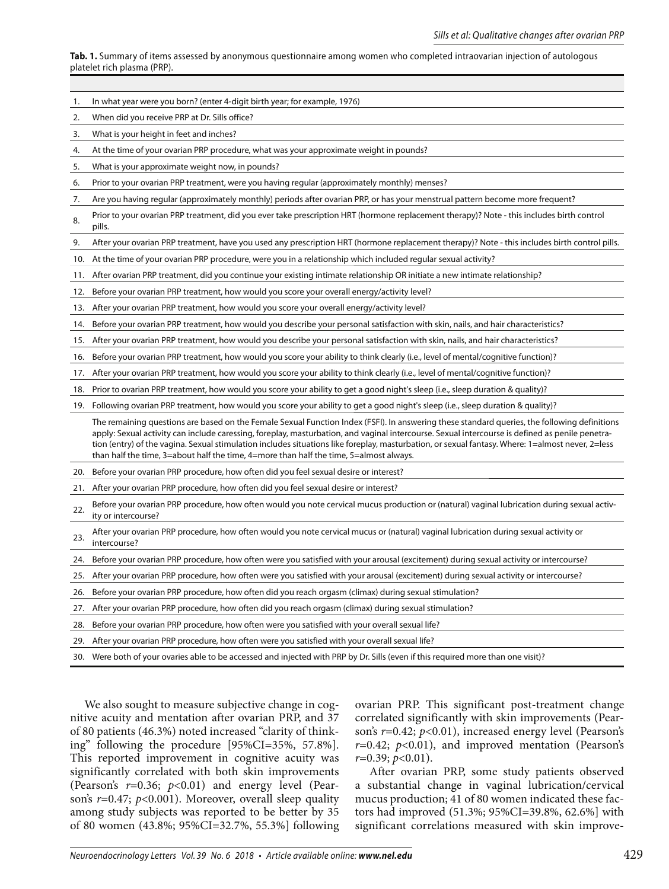**Tab. 1.** Summary of items assessed by anonymous questionnaire among women who completed intraovarian injection of autologous platelet rich plasma (PRP).

1. In what year were you born? (enter 4-digit birth year; for example, 1976)

| 2.  | When did you receive PRP at Dr. Sills office?                                                                                                                                                                                                                                                                                                                                                                                                                                                                                                 |
|-----|-----------------------------------------------------------------------------------------------------------------------------------------------------------------------------------------------------------------------------------------------------------------------------------------------------------------------------------------------------------------------------------------------------------------------------------------------------------------------------------------------------------------------------------------------|
| 3.  | What is your height in feet and inches?                                                                                                                                                                                                                                                                                                                                                                                                                                                                                                       |
| 4.  | At the time of your ovarian PRP procedure, what was your approximate weight in pounds?                                                                                                                                                                                                                                                                                                                                                                                                                                                        |
| 5.  | What is your approximate weight now, in pounds?                                                                                                                                                                                                                                                                                                                                                                                                                                                                                               |
| 6.  | Prior to your ovarian PRP treatment, were you having regular (approximately monthly) menses?                                                                                                                                                                                                                                                                                                                                                                                                                                                  |
| 7.  | Are you having regular (approximately monthly) periods after ovarian PRP, or has your menstrual pattern become more frequent?                                                                                                                                                                                                                                                                                                                                                                                                                 |
| 8.  | Prior to your ovarian PRP treatment, did you ever take prescription HRT (hormone replacement therapy)? Note - this includes birth control<br>pills.                                                                                                                                                                                                                                                                                                                                                                                           |
| 9.  | After your ovarian PRP treatment, have you used any prescription HRT (hormone replacement therapy)? Note - this includes birth control pills.                                                                                                                                                                                                                                                                                                                                                                                                 |
| 10. | At the time of your ovarian PRP procedure, were you in a relationship which included regular sexual activity?                                                                                                                                                                                                                                                                                                                                                                                                                                 |
| 11. | After ovarian PRP treatment, did you continue your existing intimate relationship OR initiate a new intimate relationship?                                                                                                                                                                                                                                                                                                                                                                                                                    |
| 12. | Before your ovarian PRP treatment, how would you score your overall energy/activity level?                                                                                                                                                                                                                                                                                                                                                                                                                                                    |
| 13. | After your ovarian PRP treatment, how would you score your overall energy/activity level?                                                                                                                                                                                                                                                                                                                                                                                                                                                     |
| 14. | Before your ovarian PRP treatment, how would you describe your personal satisfaction with skin, nails, and hair characteristics?                                                                                                                                                                                                                                                                                                                                                                                                              |
| 15. | After your ovarian PRP treatment, how would you describe your personal satisfaction with skin, nails, and hair characteristics?                                                                                                                                                                                                                                                                                                                                                                                                               |
| 16. | Before your ovarian PRP treatment, how would you score your ability to think clearly (i.e., level of mental/cognitive function)?                                                                                                                                                                                                                                                                                                                                                                                                              |
| 17. | After your ovarian PRP treatment, how would you score your ability to think clearly (i.e., level of mental/cognitive function)?                                                                                                                                                                                                                                                                                                                                                                                                               |
| 18. | Prior to ovarian PRP treatment, how would you score your ability to get a good night's sleep (i.e., sleep duration & quality)?                                                                                                                                                                                                                                                                                                                                                                                                                |
| 19. | Following ovarian PRP treatment, how would you score your ability to get a good night's sleep (i.e., sleep duration & quality)?                                                                                                                                                                                                                                                                                                                                                                                                               |
|     | The remaining questions are based on the Female Sexual Function Index (FSFI). In answering these standard queries, the following definitions<br>apply: Sexual activity can include caressing, foreplay, masturbation, and vaginal intercourse. Sexual intercourse is defined as penile penetra-<br>tion (entry) of the vagina. Sexual stimulation includes situations like foreplay, masturbation, or sexual fantasy. Where: 1=almost never, 2=less<br>than half the time, 3=about half the time, 4=more than half the time, 5=almost always. |
| 20. | Before your ovarian PRP procedure, how often did you feel sexual desire or interest?                                                                                                                                                                                                                                                                                                                                                                                                                                                          |
| 21. | After your ovarian PRP procedure, how often did you feel sexual desire or interest?                                                                                                                                                                                                                                                                                                                                                                                                                                                           |
| 22. | Before your ovarian PRP procedure, how often would you note cervical mucus production or (natural) vaginal lubrication during sexual activ-<br>ity or intercourse?                                                                                                                                                                                                                                                                                                                                                                            |
| 23. | After your ovarian PRP procedure, how often would you note cervical mucus or (natural) vaginal lubrication during sexual activity or<br>intercourse?                                                                                                                                                                                                                                                                                                                                                                                          |
| 24. | Before your ovarian PRP procedure, how often were you satisfied with your arousal (excitement) during sexual activity or intercourse?                                                                                                                                                                                                                                                                                                                                                                                                         |
| 25. | After your ovarian PRP procedure, how often were you satisfied with your arousal (excitement) during sexual activity or intercourse?                                                                                                                                                                                                                                                                                                                                                                                                          |
| 26. | Before your ovarian PRP procedure, how often did you reach orgasm (climax) during sexual stimulation?                                                                                                                                                                                                                                                                                                                                                                                                                                         |
| 27. | After your ovarian PRP procedure, how often did you reach orgasm (climax) during sexual stimulation?                                                                                                                                                                                                                                                                                                                                                                                                                                          |
| 28. | Before your ovarian PRP procedure, how often were you satisfied with your overall sexual life?                                                                                                                                                                                                                                                                                                                                                                                                                                                |
| 29. | After your ovarian PRP procedure, how often were you satisfied with your overall sexual life?                                                                                                                                                                                                                                                                                                                                                                                                                                                 |

30. Were both of your ovaries able to be accessed and injected with PRP by Dr. Sills (even if this required more than one visit)?

We also sought to measure subjective change in cognitive acuity and mentation after ovarian PRP, and 37 of 80 patients (46.3%) noted increased "clarity of thinking" following the procedure [95%CI=35%, 57.8%]. This reported improvement in cognitive acuity was significantly correlated with both skin improvements (Pearson's *r*=0.36; *p*<0.01) and energy level (Pearson's *r*=0.47; *p*<0.001). Moreover, overall sleep quality among study subjects was reported to be better by 35 of 80 women (43.8%; 95%CI=32.7%, 55.3%] following ovarian PRP. This significant post-treatment change correlated significantly with skin improvements (Pearson's *r*=0.42; *p*<0.01), increased energy level (Pearson's *r*=0.42; *p*<0.01), and improved mentation (Pearson's *r*=0.39; *p*<0.01).

After ovarian PRP, some study patients observed a substantial change in vaginal lubrication/cervical mucus production; 41 of 80 women indicated these factors had improved (51.3%; 95%CI=39.8%, 62.6%] with significant correlations measured with skin improve-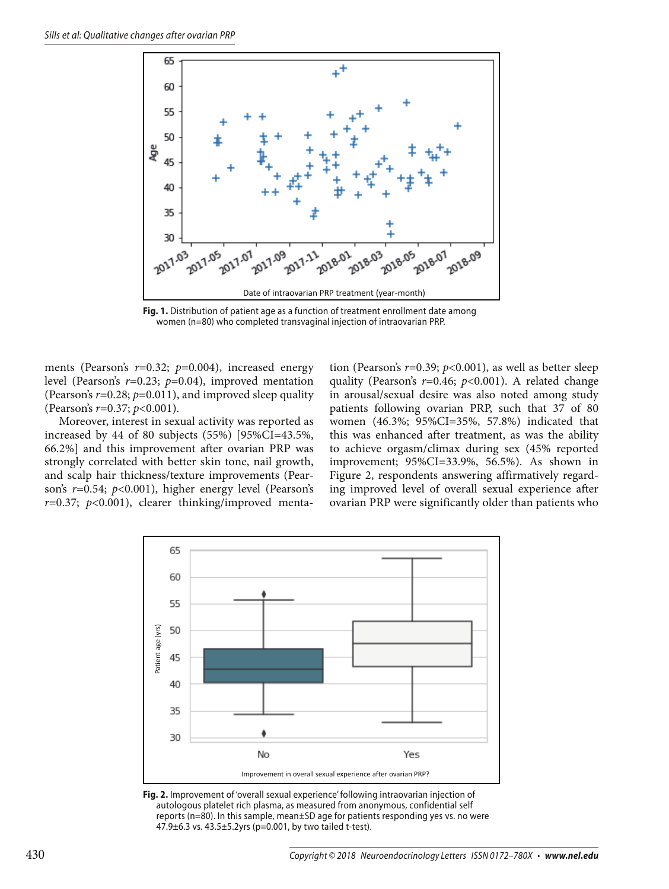

**Fig. 1.** Distribution of patient age as a function of treatment enrollment date among women (n=80) who completed transvaginal injection of intraovarian PRP.

ments (Pearson's *r*=0.32; *p*=0.004), increased energy level (Pearson's *r*=0.23; *p*=0.04), improved mentation (Pearson's *r*=0.28; *p*=0.011), and improved sleep quality (Pearson's *r*=0.37; *p*<0.001).

Moreover, interest in sexual activity was reported as increased by 44 of 80 subjects (55%) [95%CI=43.5%, 66.2%] and this improvement after ovarian PRP was strongly correlated with better skin tone, nail growth, and scalp hair thickness/texture improvements (Pearson's *r*=0.54; *p*<0.001), higher energy level (Pearson's *r*=0.37; *p*<0.001), clearer thinking/improved menta-

tion (Pearson's *r*=0.39; *p*<0.001), as well as better sleep quality (Pearson's *r*=0.46; *p*<0.001). A related change in arousal/sexual desire was also noted among study patients following ovarian PRP, such that 37 of 80 women (46.3%; 95%CI=35%, 57.8%) indicated that this was enhanced after treatment, as was the ability to achieve orgasm/climax during sex (45% reported improvement; 95%CI=33.9%, 56.5%). As shown in Figure 2, respondents answering affirmatively regarding improved level of overall sexual experience after ovarian PRP were significantly older than patients who



**Fig. 2.** Improvement of 'overall sexual experience' following intraovarian injection of autologous platelet rich plasma, as measured from anonymous, confidential self reports (n=80). In this sample, mean±SD age for patients responding yes vs. no were 47.9±6.3 vs. 43.5±5.2yrs (p=0.001, by two tailed t-test).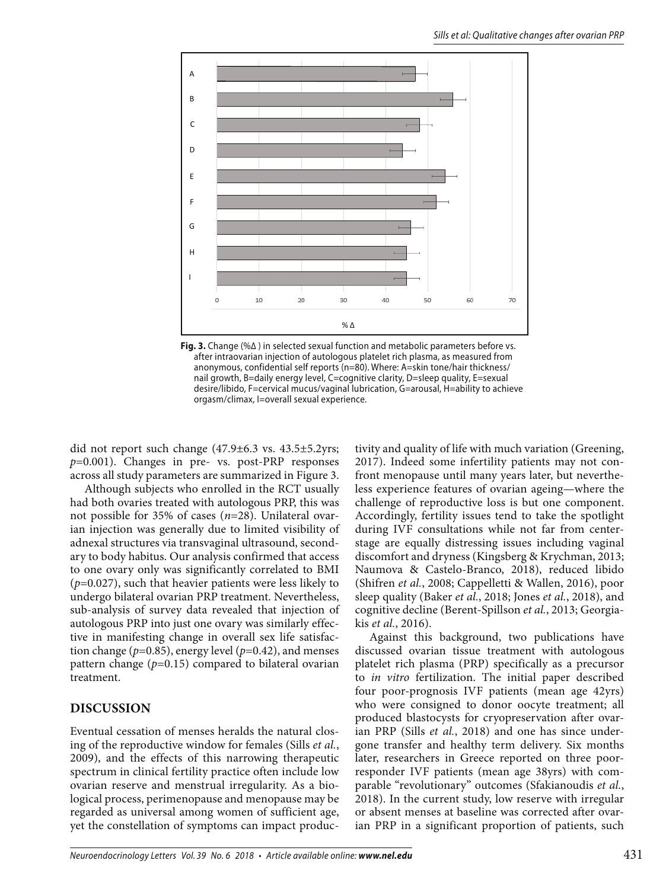

**Fig. 3.** Change (%Δ ) in selected sexual function and metabolic parameters before vs. after intraovarian injection of autologous platelet rich plasma, as measured from anonymous, confidential self reports (n=80). Where: A=skin tone/hair thickness/ nail growth, B=daily energy level, C=cognitive clarity, D=sleep quality, E=sexual desire/libido, F=cervical mucus/vaginal lubrication, G=arousal, H=ability to achieve orgasm/climax, I=overall sexual experience.

did not report such change (47.9±6.3 vs. 43.5±5.2yrs; *p*=0.001). Changes in pre- vs. post-PRP responses across all study parameters are summarized in Figure 3.

Although subjects who enrolled in the RCT usually had both ovaries treated with autologous PRP, this was not possible for 35% of cases (*n*=28). Unilateral ovarian injection was generally due to limited visibility of adnexal structures via transvaginal ultrasound, secondary to body habitus. Our analysis confirmed that access to one ovary only was significantly correlated to BMI (*p*=0.027), such that heavier patients were less likely to undergo bilateral ovarian PRP treatment. Nevertheless, sub-analysis of survey data revealed that injection of autologous PRP into just one ovary was similarly effective in manifesting change in overall sex life satisfaction change (*p*=0.85), energy level (*p*=0.42), and menses pattern change (*p*=0.15) compared to bilateral ovarian treatment.

#### **DISCUSSION**

Eventual cessation of menses heralds the natural closing of the reproductive window for females (Sills *et al.*, 2009), and the effects of this narrowing therapeutic spectrum in clinical fertility practice often include low ovarian reserve and menstrual irregularity. As a biological process, perimenopause and menopause may be regarded as universal among women of sufficient age, yet the constellation of symptoms can impact productivity and quality of life with much variation (Greening, 2017). Indeed some infertility patients may not confront menopause until many years later, but nevertheless experience features of ovarian ageing—where the challenge of reproductive loss is but one component. Accordingly, fertility issues tend to take the spotlight during IVF consultations while not far from centerstage are equally distressing issues including vaginal discomfort and dryness (Kingsberg & Krychman, 2013; Naumova & Castelo-Branco, 2018), reduced libido (Shifren *et al.*, 2008; Cappelletti & Wallen, 2016), poor sleep quality (Baker *et al.*, 2018; Jones *et al.*, 2018), and cognitive decline (Berent-Spillson *et al.*, 2013; Georgiakis *et al.*, 2016).

Against this background, two publications have discussed ovarian tissue treatment with autologous platelet rich plasma (PRP) specifically as a precursor to *in vitro* fertilization. The initial paper described four poor-prognosis IVF patients (mean age 42yrs) who were consigned to donor oocyte treatment; all produced blastocysts for cryopreservation after ovarian PRP (Sills *et al.*, 2018) and one has since undergone transfer and healthy term delivery. Six months later, researchers in Greece reported on three poorresponder IVF patients (mean age 38yrs) with comparable "revolutionary" outcomes (Sfakianoudis *et al.*, 2018). In the current study, low reserve with irregular or absent menses at baseline was corrected after ovarian PRP in a significant proportion of patients, such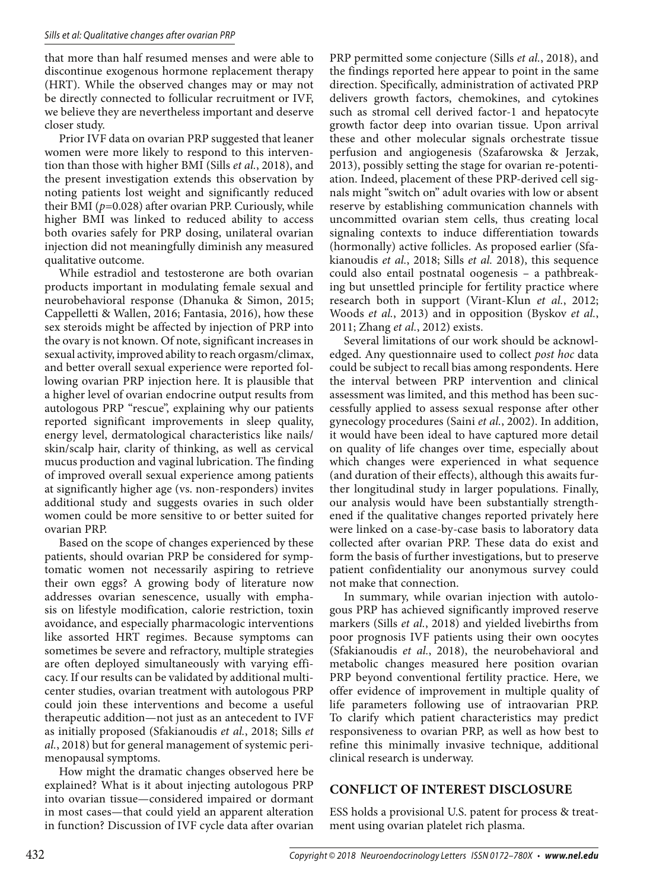that more than half resumed menses and were able to discontinue exogenous hormone replacement therapy (HRT). While the observed changes may or may not be directly connected to follicular recruitment or IVF, we believe they are nevertheless important and deserve closer study.

Prior IVF data on ovarian PRP suggested that leaner women were more likely to respond to this intervention than those with higher BMI (Sills *et al.*, 2018), and the present investigation extends this observation by noting patients lost weight and significantly reduced their BMI (*p*=0.028) after ovarian PRP. Curiously, while higher BMI was linked to reduced ability to access both ovaries safely for PRP dosing, unilateral ovarian injection did not meaningfully diminish any measured qualitative outcome.

While estradiol and testosterone are both ovarian products important in modulating female sexual and neurobehavioral response (Dhanuka & Simon, 2015; Cappelletti & Wallen, 2016; Fantasia, 2016), how these sex steroids might be affected by injection of PRP into the ovary is not known. Of note, significant increases in sexual activity, improved ability to reach orgasm/climax, and better overall sexual experience were reported following ovarian PRP injection here. It is plausible that a higher level of ovarian endocrine output results from autologous PRP "rescue", explaining why our patients reported significant improvements in sleep quality, energy level, dermatological characteristics like nails/ skin/scalp hair, clarity of thinking, as well as cervical mucus production and vaginal lubrication. The finding of improved overall sexual experience among patients at significantly higher age (vs. non-responders) invites additional study and suggests ovaries in such older women could be more sensitive to or better suited for ovarian PRP.

Based on the scope of changes experienced by these patients, should ovarian PRP be considered for symptomatic women not necessarily aspiring to retrieve their own eggs? A growing body of literature now addresses ovarian senescence, usually with emphasis on lifestyle modification, calorie restriction, toxin avoidance, and especially pharmacologic interventions like assorted HRT regimes. Because symptoms can sometimes be severe and refractory, multiple strategies are often deployed simultaneously with varying efficacy. If our results can be validated by additional multicenter studies, ovarian treatment with autologous PRP could join these interventions and become a useful therapeutic addition—not just as an antecedent to IVF as initially proposed (Sfakianoudis *et al.*, 2018; Sills *et al.*, 2018) but for general management of systemic perimenopausal symptoms.

How might the dramatic changes observed here be explained? What is it about injecting autologous PRP into ovarian tissue—considered impaired or dormant in most cases—that could yield an apparent alteration in function? Discussion of IVF cycle data after ovarian PRP permitted some conjecture (Sills *et al.*, 2018), and the findings reported here appear to point in the same direction. Specifically, administration of activated PRP delivers growth factors, chemokines, and cytokines such as stromal cell derived factor-1 and hepatocyte growth factor deep into ovarian tissue. Upon arrival these and other molecular signals orchestrate tissue perfusion and angiogenesis (Szafarowska & Jerzak, 2013), possibly setting the stage for ovarian re-potentiation. Indeed, placement of these PRP-derived cell signals might "switch on" adult ovaries with low or absent reserve by establishing communication channels with uncommitted ovarian stem cells, thus creating local signaling contexts to induce differentiation towards (hormonally) active follicles. As proposed earlier (Sfakianoudis *et al.*, 2018; Sills *et al.* 2018), this sequence could also entail postnatal oogenesis – a pathbreaking but unsettled principle for fertility practice where research both in support (Virant-Klun *et al.*, 2012; Woods *et al.*, 2013) and in opposition (Byskov *et al.*, 2011; Zhang *et al.*, 2012) exists.

Several limitations of our work should be acknowledged. Any questionnaire used to collect *post hoc* data could be subject to recall bias among respondents. Here the interval between PRP intervention and clinical assessment was limited, and this method has been successfully applied to assess sexual response after other gynecology procedures (Saini *et al.*, 2002). In addition, it would have been ideal to have captured more detail on quality of life changes over time, especially about which changes were experienced in what sequence (and duration of their effects), although this awaits further longitudinal study in larger populations. Finally, our analysis would have been substantially strengthened if the qualitative changes reported privately here were linked on a case-by-case basis to laboratory data collected after ovarian PRP. These data do exist and form the basis of further investigations, but to preserve patient confidentiality our anonymous survey could not make that connection.

In summary, while ovarian injection with autologous PRP has achieved significantly improved reserve markers (Sills *et al.*, 2018) and yielded livebirths from poor prognosis IVF patients using their own oocytes (Sfakianoudis *et al.*, 2018), the neurobehavioral and metabolic changes measured here position ovarian PRP beyond conventional fertility practice. Here, we offer evidence of improvement in multiple quality of life parameters following use of intraovarian PRP. To clarify which patient characteristics may predict responsiveness to ovarian PRP, as well as how best to refine this minimally invasive technique, additional clinical research is underway.

#### **CONFLICT OF INTEREST DISCLOSURE**

ESS holds a provisional U.S. patent for process & treatment using ovarian platelet rich plasma.